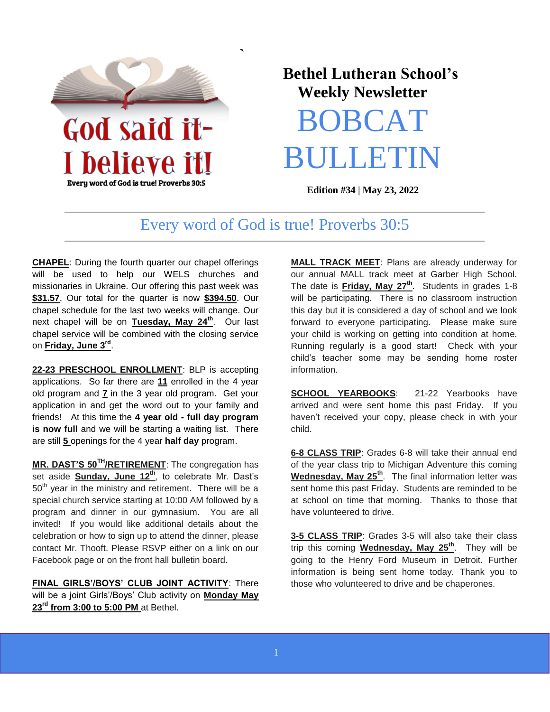

Every word of God is true! Proverbs 30:5

## **Bethel Lutheran School's Weekly Newsletter**

# BOBCAT BULLETIN

**Edition #34 | May 23, 2022** 

## Every word of God is true! Proverbs 30:5

**`** 

**CHAPEL**: During the fourth quarter our chapel offerings will be used to help our WELS churches and missionaries in Ukraine. Our offering this past week was **\$31.57**. Our total for the quarter is now **\$394.50**. Our chapel schedule for the last two weeks will change. Our next chapel will be on **Tuesday, May 24th**. Our last chapel service will be combined with the closing service on **Friday, June 3rd** .

**22-23 PRESCHOOL ENROLLMENT**: BLP is accepting applications. So far there are **11** enrolled in the 4 year old program and **7** in the 3 year old program. Get your application in and get the word out to your family and friends! At this time the **4 year old - full day program is now full** and we will be starting a waiting list. There are still **5** openings for the 4 year **half day** program.

**MR. DAST'S 50TH/RETIREMENT**: The congregation has set aside **Sunday, June 12th**, to celebrate Mr. Dast's  $50<sup>th</sup>$  year in the ministry and retirement. There will be a special church service starting at 10:00 AM followed by a program and dinner in our gymnasium. You are all invited! If you would like additional details about the celebration or how to sign up to attend the dinner, please contact Mr. Thooft. Please RSVP either on a link on our Facebook page or on the front hall bulletin board.

**FINAL GIRLS'/BOYS' CLUB JOINT ACTIVITY**: There will be a joint Girls'/Boys' Club activity on **Monday May 23rd from 3:00 to 5:00 PM** at Bethel.

**MALL TRACK MEET**: Plans are already underway for our annual MALL track meet at Garber High School. The date is **Friday, May 27th**. Students in grades 1-8 will be participating. There is no classroom instruction this day but it is considered a day of school and we look forward to everyone participating. Please make sure your child is working on getting into condition at home. Running regularly is a good start! Check with your child's teacher some may be sending home roster information.

**SCHOOL YEARBOOKS**: 21-22 Yearbooks have arrived and were sent home this past Friday. If you haven't received your copy, please check in with your child.

**6-8 CLASS TRIP**: Grades 6-8 will take their annual end of the year class trip to Michigan Adventure this coming **Wednesday, May 25th**. The final information letter was sent home this past Friday. Students are reminded to be at school on time that morning. Thanks to those that have volunteered to drive.

**3-5 CLASS TRIP**: Grades 3-5 will also take their class trip this coming **Wednesday, May 25th**. They will be going to the Henry Ford Museum in Detroit. Further information is being sent home today. Thank you to those who volunteered to drive and be chaperones.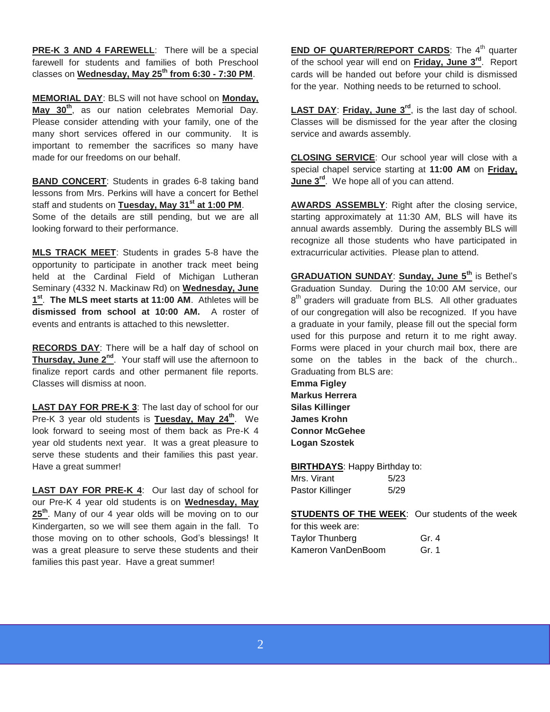**PRE-K 3 AND 4 FAREWELL**: There will be a special farewell for students and families of both Preschool classes on **Wednesday, May 25th from 6:30 - 7:30 PM**.

**MEMORIAL DAY**: BLS will not have school on **Monday, May 30th**, as our nation celebrates Memorial Day. Please consider attending with your family, one of the many short services offered in our community. It is important to remember the sacrifices so many have made for our freedoms on our behalf.

**BAND CONCERT**: Students in grades 6-8 taking band lessons from Mrs. Perkins will have a concert for Bethel staff and students on **Tuesday, May 31st at 1:00 PM**. Some of the details are still pending, but we are all looking forward to their performance.

**MLS TRACK MEET**: Students in grades 5-8 have the opportunity to participate in another track meet being held at the Cardinal Field of Michigan Lutheran Seminary (4332 N. Mackinaw Rd) on **Wednesday, June 1 st** . **The MLS meet starts at 11:00 AM**. Athletes will be **dismissed from school at 10:00 AM.** A roster of events and entrants is attached to this newsletter

**RECORDS DAY**: There will be a half day of school on **Thursday, June 2nd**. Your staff will use the afternoon to finalize report cards and other permanent file reports. Classes will dismiss at noon.

**LAST DAY FOR PRE-K 3**: The last day of school for our Pre-K 3 year old students is **Tuesday, May 24th**. We look forward to seeing most of them back as Pre-K 4 year old students next year. It was a great pleasure to serve these students and their families this past year. Have a great summer!

**LAST DAY FOR PRE-K 4**: Our last day of school for our Pre-K 4 year old students is on **Wednesday, May 25th**. Many of our 4 year olds will be moving on to our Kindergarten, so we will see them again in the fall. To those moving on to other schools, God's blessings! It was a great pleasure to serve these students and their families this past year. Have a great summer!

**END OF QUARTER/REPORT CARDS:** The 4<sup>th</sup> quarter of the school year will end on **Friday, June 3rd**. Report cards will be handed out before your child is dismissed for the year. Nothing needs to be returned to school.

**LAST DAY**: **Friday, June 3rd**, is the last day of school. Classes will be dismissed for the year after the closing service and awards assembly.

**CLOSING SERVICE**: Our school year will close with a special chapel service starting at **11:00 AM** on **Friday, June 3rd**. We hope all of you can attend.

**AWARDS ASSEMBLY**: Right after the closing service, starting approximately at 11:30 AM, BLS will have its annual awards assembly. During the assembly BLS will recognize all those students who have participated in extracurricular activities. Please plan to attend.

**GRADUATION SUNDAY**: **Sunday, June 5th** is Bethel's Graduation Sunday. During the 10:00 AM service, our 8<sup>th</sup> graders will graduate from BLS. All other graduates of our congregation will also be recognized. If you have a graduate in your family, please fill out the special form used for this purpose and return it to me right away. Forms were placed in your church mail box, there are some on the tables in the back of the church.. Graduating from BLS are:

**Emma Figley Markus Herrera Silas Killinger James Krohn Connor McGehee Logan Szostek**

**BIRTHDAYS**: Happy Birthday to: Mrs. Virant 5/23 Pastor Killinger 5/29

**STUDENTS OF THE WEEK:** Our students of the week

| for this week are: |         |
|--------------------|---------|
| Taylor Thunberg    | Gr. 4   |
| Kameron VanDenBoom | Gr. $1$ |